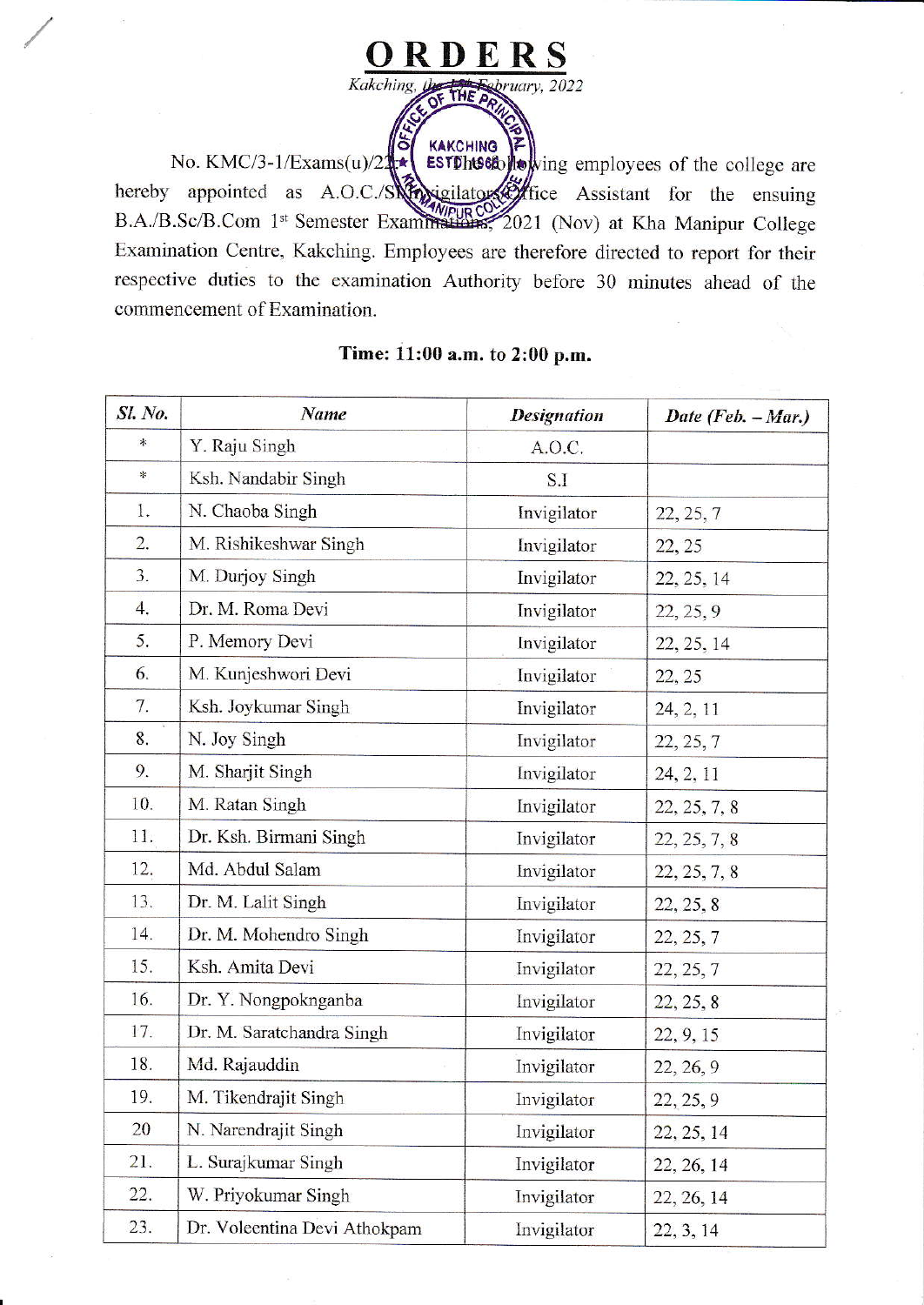

KAKCHING EST Dhuston Departure of the college are No. KMC/3-1/Exams(u)/21 hereby appointed as A.O.C./SNA sigilators of fice Assistant for the ensuing B.A./B.Sc/B.Com 1st Semester Examinations, 2021 (Nov) at Kha Manipur College Examination Centre, Kakching. Employees are therefore directed to report for their respective duties to the examination Authority before 30 minutes ahead of the commencement of Examination.

| <b>Sl. No.</b> | Name                         | <b>Designation</b> | Date (Feb. $-Mar.$ ) |
|----------------|------------------------------|--------------------|----------------------|
| *              | Y. Raju Singh                | A.O.C.             |                      |
| 氺              | Ksh. Nandabir Singh          | S.I                |                      |
| 1.             | N. Chaoba Singh              | Invigilator        | 22, 25, 7            |
| 2.             | M. Rishikeshwar Singh        | Invigilator        | 22, 25               |
| 3.             | M. Durjoy Singh              | Invigilator        | 22, 25, 14           |
| 4.             | Dr. M. Roma Devi             | Invigilator        | 22, 25, 9            |
| 5.             | P. Memory Devi               | Invigilator        | 22, 25, 14           |
| 6.             | M. Kunjeshwori Devi          | Invigilator        | 22, 25               |
| 7.             | Ksh. Joykumar Singh          | Invigilator        | 24, 2, 11            |
| 8.             | N. Joy Singh                 | Invigilator        | 22, 25, 7            |
| 9.             | M. Sharjit Singh             | Invigilator        | 24, 2, 11            |
| 10.            | M. Ratan Singh               | Invigilator        | 22, 25, 7, 8         |
| 11.            | Dr. Ksh. Birmani Singh       | Invigilator        | 22, 25, 7, 8         |
| 12.            | Md. Abdul Salam              | Invigilator        | 22, 25, 7, 8         |
| 13.            | Dr. M. Lalit Singh           | Invigilator        | 22, 25, 8            |
| 14.            | Dr. M. Mohendro Singh        | Invigilator        | 22, 25, 7            |
| 15.            | Ksh. Amita Devi              | Invigilator        | 22, 25, 7            |
| 16.            | Dr. Y. Nongpoknganba         | Invigilator        | 22, 25, 8            |
| 17.            | Dr. M. Saratchandra Singh    | Invigilator        | 22, 9, 15            |
| 18.            | Md. Rajauddin                | Invigilator        | 22, 26, 9            |
| 19.            | M. Tikendrajit Singh         | Invigilator        | 22, 25, 9            |
| 20             | N. Narendrajit Singh         | Invigilator        | 22, 25, 14           |
| 21.            | L. Surajkumar Singh          | Invigilator        | 22, 26, 14           |
| 22.            | W. Priyokumar Singh          | Invigilator        | 22, 26, 14           |
| 23.            | Dr. Voleentina Devi Athokpam | Invigilator        | 22, 3, 14            |

## Time: 11:00 a.m. to 2:00 p.m.